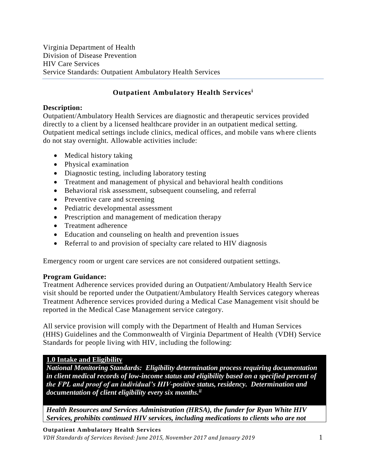#### **Description:**

Outpatient/Ambulatory Health Services are diagnostic and therapeutic services provided directly to a client by a licensed healthcare provider in an outpatient medical setting. Outpatient medical settings include clinics, medical offices, and mobile vans where clients do not stay overnight. Allowable activities include:

- Medical history taking
- Physical examination
- Diagnostic testing, including laboratory testing
- Treatment and management of physical and behavioral health conditions
- Behavioral risk assessment, subsequent counseling, and referral
- Preventive care and screening
- Pediatric developmental assessment
- Prescription and management of medication therapy
- Treatment adherence
- Education and counseling on health and prevention issues
- Referral to and provision of specialty care related to HIV diagnosis

Emergency room or urgent care services are not considered outpatient settings.

#### **Program Guidance:**

Treatment Adherence services provided during an Outpatient/Ambulatory Health Service visit should be reported under the Outpatient/Ambulatory Health Services category whereas Treatment Adherence services provided during a Medical Case Management visit should be reported in the Medical Case Management service category.

All service provision will comply with the Department of Health and Human Services (HHS) Guidelines and the Commonwealth of Virginia Department of Health (VDH) Service Standards for people living with HIV, including the following:

#### **1.0 Intake and Eligibility**

*National Monitoring Standards: Eligibility determination process requiring documentation in client medical records of low-income status and eligibility based on a specified percent of the FPL and proof of an individual's HIV-positive status, residency. Determination and documentation of client eligibility every six months. ii*

*Health Resources and Services Administration (HRSA), the funder for Ryan White HIV Services, prohibits continued HIV services, including medications to clients who are not* 

#### **Outpatient Ambulatory Health Services**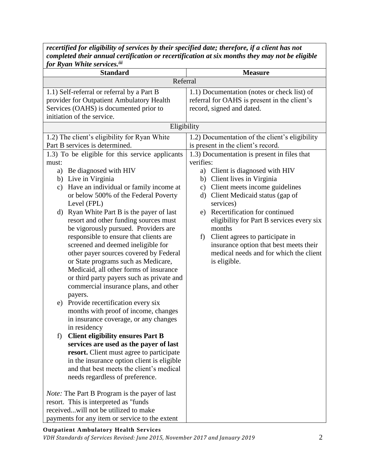| for Ryan White services. <sup>iii</sup>                                                                                                                                                                                                                                                                           |                                                                                                                                                                                                                                                              |
|-------------------------------------------------------------------------------------------------------------------------------------------------------------------------------------------------------------------------------------------------------------------------------------------------------------------|--------------------------------------------------------------------------------------------------------------------------------------------------------------------------------------------------------------------------------------------------------------|
| <b>Standard</b>                                                                                                                                                                                                                                                                                                   | <b>Measure</b>                                                                                                                                                                                                                                               |
| Referral                                                                                                                                                                                                                                                                                                          |                                                                                                                                                                                                                                                              |
| 1.1) Self-referral or referral by a Part B<br>provider for Outpatient Ambulatory Health<br>Services (OAHS) is documented prior to<br>initiation of the service.                                                                                                                                                   | 1.1) Documentation (notes or check list) of<br>referral for OAHS is present in the client's<br>record, signed and dated.                                                                                                                                     |
| Eligibility                                                                                                                                                                                                                                                                                                       |                                                                                                                                                                                                                                                              |
| 1.2) The client's eligibility for Ryan White<br>Part B services is determined.                                                                                                                                                                                                                                    | 1.2) Documentation of the client's eligibility<br>is present in the client's record.                                                                                                                                                                         |
| 1.3) To be eligible for this service applicants<br>must:                                                                                                                                                                                                                                                          | 1.3) Documentation is present in files that<br>verifies:                                                                                                                                                                                                     |
| Be diagnosed with HIV<br>a)<br>b) Live in Virginia<br>c) Have an individual or family income at<br>or below 500% of the Federal Poverty<br>Level (FPL)<br>Ryan White Part B is the payer of last<br>d)<br>resort and other funding sources must<br>be vigorously pursued. Providers are                           | a) Client is diagnosed with HIV<br>b) Client lives in Virginia<br>c) Client meets income guidelines<br>Client Medicaid status (gap of<br>$\rm d)$<br>services)<br>Recertification for continued<br>e)<br>eligibility for Part B services every six<br>months |
| responsible to ensure that clients are<br>screened and deemed ineligible for<br>other payer sources covered by Federal<br>or State programs such as Medicare,<br>Medicaid, all other forms of insurance<br>or third party payers such as private and<br>commercial insurance plans, and other<br>payers.          | Client agrees to participate in<br>f)<br>insurance option that best meets their<br>medical needs and for which the client<br>is eligible.                                                                                                                    |
| e) Provide recertification every six<br>months with proof of income, changes<br>in insurance coverage, or any changes<br>in residency<br><b>Client eligibility ensures Part B</b><br>f)                                                                                                                           |                                                                                                                                                                                                                                                              |
| services are used as the payer of last<br>resort. Client must agree to participate<br>in the insurance option client is eligible<br>and that best meets the client's medical<br>needs regardless of preference.<br><i>Note:</i> The Part B Program is the payer of last<br>resort. This is interpreted as "funds" |                                                                                                                                                                                                                                                              |
| receivedwill not be utilized to make<br>payments for any item or service to the extent                                                                                                                                                                                                                            |                                                                                                                                                                                                                                                              |

*recertified for eligibility of services by their specified date; therefore, if a client has not completed their annual certification or recertification at six months they may not be eligible*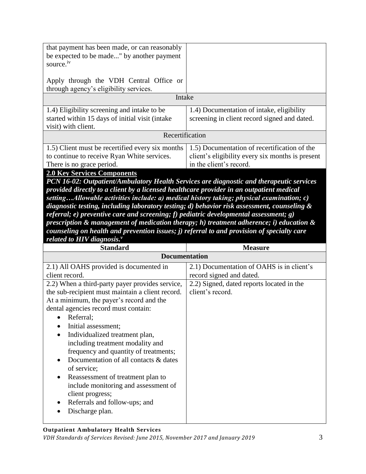| that payment has been made, or can reasonably<br>be expected to be made" by another payment<br>source. <sup>iv</sup> |                                                  |  |
|----------------------------------------------------------------------------------------------------------------------|--------------------------------------------------|--|
| Apply through the VDH Central Office or<br>through agency's eligibility services.                                    |                                                  |  |
| Intake                                                                                                               |                                                  |  |
|                                                                                                                      |                                                  |  |
| 1.4) Eligibility screening and intake to be                                                                          | 1.4) Documentation of intake, eligibility        |  |
| started within 15 days of initial visit (intake                                                                      | screening in client record signed and dated.     |  |
| visit) with client.                                                                                                  |                                                  |  |
| Recertification                                                                                                      |                                                  |  |
| 1.5) Client must be recertified every six months                                                                     | 1.5) Documentation of recertification of the     |  |
| to continue to receive Ryan White services.                                                                          | client's eligibility every six months is present |  |
| There is no grace period.                                                                                            | in the client's record.                          |  |

## **2.0 Key Services Components**

*PCN 16-02: Outpatient/Ambulatory Health Services are diagnostic and therapeutic services provided directly to a client by a licensed healthcare provider in an outpatient medical setting…Allowable activities include: a) medical history taking; physical examination; c) diagnostic testing, including laboratory testing; d) behavior risk assessment, counseling & referral; e) preventive care and screening; f) pediatric developmental assessment; g) prescription & management of medication therapy; h) treatment adherence; i) education & counseling on health and prevention issues; j) referral to and provision of specialty care related to HIV diagnosis.<sup>v</sup>*

| <b>Standard</b>                                  | <b>Measure</b>                            |  |
|--------------------------------------------------|-------------------------------------------|--|
| <b>Documentation</b>                             |                                           |  |
| 2.1) All OAHS provided is documented in          | 2.1) Documentation of OAHS is in client's |  |
| client record.                                   | record signed and dated.                  |  |
| 2.2) When a third-party payer provides service,  | 2.2) Signed, dated reports located in the |  |
| the sub-recipient must maintain a client record. | client's record.                          |  |
| At a minimum, the payer's record and the         |                                           |  |
| dental agencies record must contain:             |                                           |  |
| Referral;                                        |                                           |  |
| Initial assessment;                              |                                           |  |
| Individualized treatment plan,<br>$\bullet$      |                                           |  |
| including treatment modality and                 |                                           |  |
| frequency and quantity of treatments;            |                                           |  |
| Documentation of all contacts & dates            |                                           |  |
| of service;                                      |                                           |  |
| Reassessment of treatment plan to<br>$\bullet$   |                                           |  |
| include monitoring and assessment of             |                                           |  |
| client progress;                                 |                                           |  |
| Referrals and follow-ups; and                    |                                           |  |
| Discharge plan.                                  |                                           |  |
|                                                  |                                           |  |

#### **Outpatient Ambulatory Health Services**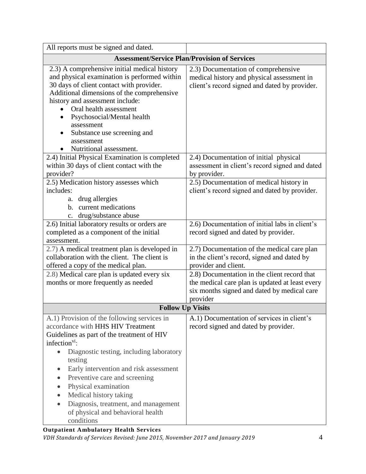| All reports must be signed and dated.                                                                                                                                                                                                                                                                                                                                   |                                                                                                                                                            |
|-------------------------------------------------------------------------------------------------------------------------------------------------------------------------------------------------------------------------------------------------------------------------------------------------------------------------------------------------------------------------|------------------------------------------------------------------------------------------------------------------------------------------------------------|
| <b>Assessment/Service Plan/Provision of Services</b>                                                                                                                                                                                                                                                                                                                    |                                                                                                                                                            |
| 2.3) A comprehensive initial medical history<br>and physical examination is performed within<br>30 days of client contact with provider.<br>Additional dimensions of the comprehensive<br>history and assessment include:<br>Oral health assessment<br>Psychosocial/Mental health<br>assessment<br>Substance use screening and<br>assessment<br>Nutritional assessment. | 2.3) Documentation of comprehensive<br>medical history and physical assessment in<br>client's record signed and dated by provider.                         |
| 2.4) Initial Physical Examination is completed<br>within 30 days of client contact with the<br>provider?                                                                                                                                                                                                                                                                | 2.4) Documentation of initial physical<br>assessment in client's record signed and dated<br>by provider.                                                   |
| 2.5) Medication history assesses which<br>includes:<br>drug allergies<br>a.<br>b. current medications<br>drug/substance abuse<br>c.                                                                                                                                                                                                                                     | 2.5) Documentation of medical history in<br>client's record signed and dated by provider.                                                                  |
| 2.6) Initial laboratory results or orders are<br>completed as a component of the initial<br>assessment.                                                                                                                                                                                                                                                                 | 2.6) Documentation of initial labs in client's<br>record signed and dated by provider.                                                                     |
| 2.7) A medical treatment plan is developed in<br>collaboration with the client. The client is<br>offered a copy of the medical plan.                                                                                                                                                                                                                                    | 2.7) Documentation of the medical care plan<br>in the client's record, signed and dated by<br>provider and client.                                         |
| 2.8) Medical care plan is updated every six<br>months or more frequently as needed                                                                                                                                                                                                                                                                                      | 2.8) Documentation in the client record that<br>the medical care plan is updated at least every<br>six months signed and dated by medical care<br>provider |
| <b>Follow Up Visits</b>                                                                                                                                                                                                                                                                                                                                                 |                                                                                                                                                            |
| A.1) Provision of the following services in<br>accordance with HHS HIV Treatment<br>Guidelines as part of the treatment of HIV<br>infection <sup>vi</sup> :                                                                                                                                                                                                             | A.1) Documentation of services in client's<br>record signed and dated by provider.                                                                         |
| Diagnostic testing, including laboratory<br>$\bullet$<br>testing<br>Early intervention and risk assessment<br>Preventive care and screening<br>Physical examination<br>$\bullet$<br>Medical history taking<br>Diagnosis, treatment, and management<br>of physical and behavioral health<br>conditions                                                                   |                                                                                                                                                            |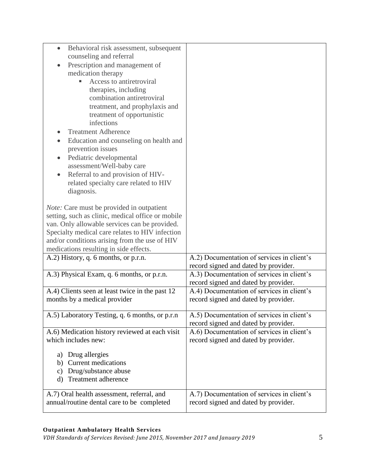| Behavioral risk assessment, subsequent<br>$\bullet$         |                                                                                    |
|-------------------------------------------------------------|------------------------------------------------------------------------------------|
| counseling and referral                                     |                                                                                    |
| Prescription and management of<br>medication therapy        |                                                                                    |
| Access to antiretroviral                                    |                                                                                    |
| therapies, including                                        |                                                                                    |
| combination antiretroviral                                  |                                                                                    |
| treatment, and prophylaxis and                              |                                                                                    |
| treatment of opportunistic                                  |                                                                                    |
| infections                                                  |                                                                                    |
| <b>Treatment Adherence</b>                                  |                                                                                    |
| Education and counseling on health and<br>prevention issues |                                                                                    |
| Pediatric developmental                                     |                                                                                    |
| assessment/Well-baby care                                   |                                                                                    |
| Referral to and provision of HIV-                           |                                                                                    |
| related specialty care related to HIV                       |                                                                                    |
| diagnosis.                                                  |                                                                                    |
| <i>Note:</i> Care must be provided in outpatient            |                                                                                    |
| setting, such as clinic, medical office or mobile           |                                                                                    |
| van. Only allowable services can be provided.               |                                                                                    |
| Specialty medical care relates to HIV infection             |                                                                                    |
| and/or conditions arising from the use of HIV               |                                                                                    |
| medications resulting in side effects.                      |                                                                                    |
| A.2) History, q. 6 months, or p.r.n.                        | A.2) Documentation of services in client's<br>record signed and dated by provider. |
| A.3) Physical Exam, q. 6 months, or p.r.n.                  | A.3) Documentation of services in client's                                         |
|                                                             | record signed and dated by provider.                                               |
| A.4) Clients seen at least twice in the past 12             | A.4) Documentation of services in client's                                         |
| months by a medical provider                                | record signed and dated by provider.                                               |
| A.5) Laboratory Testing, q. 6 months, or p.r.n              | A.5) Documentation of services in client's                                         |
|                                                             | record signed and dated by provider.                                               |
| A.6) Medication history reviewed at each visit              | A.6) Documentation of services in client's                                         |
| which includes new:                                         | record signed and dated by provider.                                               |
| Drug allergies<br>a)                                        |                                                                                    |
| <b>Current medications</b><br>b)                            |                                                                                    |
| Drug/substance abuse<br>$\mathbf{c})$                       |                                                                                    |
| Treatment adherence<br>$\rm d$                              |                                                                                    |
| A.7) Oral health assessment, referral, and                  | A.7) Documentation of services in client's                                         |
| annual/routine dental care to be completed                  | record signed and dated by provider.                                               |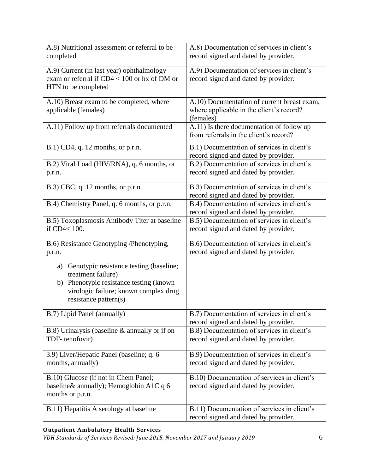| A.8) Nutritional assessment or referral to be<br>completed                                                                                                                          | A.8) Documentation of services in client's<br>record signed and dated by provider.                   |
|-------------------------------------------------------------------------------------------------------------------------------------------------------------------------------------|------------------------------------------------------------------------------------------------------|
| A.9) Current (in last year) ophthalmology<br>exam or referral if $CD4 < 100$ or hx of DM or<br>HTN to be completed                                                                  | A.9) Documentation of services in client's<br>record signed and dated by provider.                   |
| A.10) Breast exam to be completed, where<br>applicable (females)                                                                                                                    | A.10) Documentation of current breast exam,<br>where applicable in the client's record?<br>(females) |
| A.11) Follow up from referrals documented                                                                                                                                           | A.11) Is there documentation of follow up<br>from referrals in the client's record?                  |
| $B.1)$ CD4, q. 12 months, or p.r.n.                                                                                                                                                 | B.1) Documentation of services in client's<br>record signed and dated by provider.                   |
| B.2) Viral Load (HIV/RNA), q. 6 months, or<br>p.r.n.                                                                                                                                | B.2) Documentation of services in client's<br>record signed and dated by provider.                   |
| $B.3$ ) CBC, q. 12 months, or p.r.n.                                                                                                                                                | B.3) Documentation of services in client's<br>record signed and dated by provider.                   |
| B.4) Chemistry Panel, q. 6 months, or p.r.n.                                                                                                                                        | B.4) Documentation of services in client's<br>record signed and dated by provider.                   |
| B.5) Toxoplasmosis Antibody Titer at baseline<br>if CD4< 100.                                                                                                                       | B.5) Documentation of services in client's<br>record signed and dated by provider.                   |
| B.6) Resistance Genotyping /Phenotyping,<br>p.r.n.                                                                                                                                  | B.6) Documentation of services in client's<br>record signed and dated by provider.                   |
| Genotypic resistance testing (baseline;<br>a)<br>treatment failure)<br>Phenotypic resistance testing (known<br>b)<br>virologic failure; known complex drug<br>resistance pattern(s) |                                                                                                      |
| B.7) Lipid Panel (annually)                                                                                                                                                         | B.7) Documentation of services in client's<br>record signed and dated by provider.                   |
| $B.8$ ) Urinalysis (baseline $&$ annually or if on<br>TDF-tenofovir)                                                                                                                | B.8) Documentation of services in client's<br>record signed and dated by provider.                   |
| 3.9) Liver/Hepatic Panel (baseline; q. 6<br>months, annually)                                                                                                                       | B.9) Documentation of services in client's<br>record signed and dated by provider.                   |
| B.10) Glucose (if not in Chem Panel;<br>baseline& annually); Hemoglobin A1C q 6<br>months or p.r.n.                                                                                 | B.10) Documentation of services in client's<br>record signed and dated by provider.                  |
| B.11) Hepatitis A serology at baseline                                                                                                                                              | B.11) Documentation of services in client's<br>record signed and dated by provider.                  |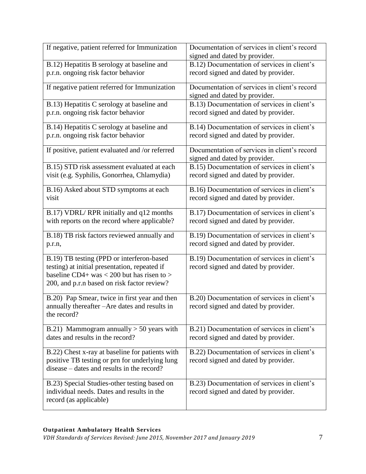| If negative, patient referred for Immunization                                                                                                                                          | Documentation of services in client's record<br>signed and dated by provider.       |
|-----------------------------------------------------------------------------------------------------------------------------------------------------------------------------------------|-------------------------------------------------------------------------------------|
| B.12) Hepatitis B serology at baseline and                                                                                                                                              | B.12) Documentation of services in client's                                         |
| p.r.n. ongoing risk factor behavior                                                                                                                                                     | record signed and dated by provider.                                                |
| If negative patient referred for Immunization                                                                                                                                           | Documentation of services in client's record<br>signed and dated by provider.       |
| B.13) Hepatitis C serology at baseline and                                                                                                                                              | B.13) Documentation of services in client's                                         |
| p.r.n. ongoing risk factor behavior                                                                                                                                                     | record signed and dated by provider.                                                |
| B.14) Hepatitis C serology at baseline and                                                                                                                                              | B.14) Documentation of services in client's                                         |
| p.r.n. ongoing risk factor behavior                                                                                                                                                     | record signed and dated by provider.                                                |
| If positive, patient evaluated and /or referred                                                                                                                                         | Documentation of services in client's record<br>signed and dated by provider.       |
| B.15) STD risk assessment evaluated at each                                                                                                                                             | B.15) Documentation of services in client's                                         |
| visit (e.g. Syphilis, Gonorrhea, Chlamydia)                                                                                                                                             | record signed and dated by provider.                                                |
| B.16) Asked about STD symptoms at each                                                                                                                                                  | B.16) Documentation of services in client's                                         |
| visit                                                                                                                                                                                   | record signed and dated by provider.                                                |
| B.17) VDRL/RPR initially and q12 months                                                                                                                                                 | B.17) Documentation of services in client's                                         |
| with reports on the record where applicable?                                                                                                                                            | record signed and dated by provider.                                                |
| B.18) TB risk factors reviewed annually and                                                                                                                                             | B.19) Documentation of services in client's                                         |
| p.r.n,                                                                                                                                                                                  | record signed and dated by provider.                                                |
| B.19) TB testing (PPD or interferon-based<br>testing) at initial presentation, repeated if<br>baseline CD4+ was < 200 but has risen to ><br>200, and p.r.n based on risk factor review? | B.19) Documentation of services in client's<br>record signed and dated by provider. |
| B.20) Pap Smear, twice in first year and then<br>annually thereafter – Are dates and results in<br>the record?                                                                          | B.20) Documentation of services in client's<br>record signed and dated by provider. |
| B.21) Mammogram annually $> 50$ years with                                                                                                                                              | B.21) Documentation of services in client's                                         |
| dates and results in the record?                                                                                                                                                        | record signed and dated by provider.                                                |
| B.22) Chest x-ray at baseline for patients with<br>positive TB testing or prn for underlying lung<br>disease – dates and results in the record?                                         | B.22) Documentation of services in client's<br>record signed and dated by provider. |
| B.23) Special Studies-other testing based on<br>individual needs. Dates and results in the<br>record (as applicable)                                                                    | B.23) Documentation of services in client's<br>record signed and dated by provider. |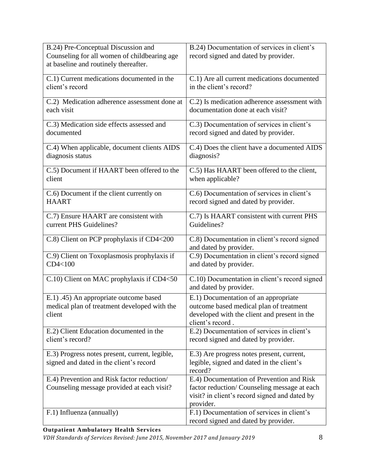| B.24) Pre-Conceptual Discussion and                                                      | B.24) Documentation of services in client's                                        |
|------------------------------------------------------------------------------------------|------------------------------------------------------------------------------------|
| Counseling for all women of childbearing age                                             | record signed and dated by provider.                                               |
| at baseline and routinely thereafter.                                                    |                                                                                    |
| C.1) Current medications documented in the                                               | C.1) Are all current medications documented                                        |
| client's record                                                                          | in the client's record?                                                            |
|                                                                                          |                                                                                    |
| C.2) Medication adherence assessment done at                                             | C.2) Is medication adherence assessment with                                       |
| each visit                                                                               | documentation done at each visit?                                                  |
| C.3) Medication side effects assessed and                                                | C.3) Documentation of services in client's                                         |
| documented                                                                               | record signed and dated by provider.                                               |
|                                                                                          |                                                                                    |
| C.4) When applicable, document clients AIDS                                              | C.4) Does the client have a documented AIDS                                        |
| diagnosis status                                                                         | diagnosis?                                                                         |
| C.5) Document if HAART been offered to the                                               | C.5) Has HAART been offered to the client,                                         |
| client                                                                                   | when applicable?                                                                   |
| C.6) Document if the client currently on                                                 | C.6) Documentation of services in client's                                         |
| <b>HAART</b>                                                                             | record signed and dated by provider.                                               |
|                                                                                          |                                                                                    |
| C.7) Ensure HAART are consistent with                                                    | C.7) Is HAART consistent with current PHS                                          |
| current PHS Guidelines?                                                                  | Guidelines?                                                                        |
| C.8) Client on PCP prophylaxis if CD4<200                                                | C.8) Documentation in client's record signed                                       |
|                                                                                          | and dated by provider.                                                             |
| C.9) Client on Toxoplasmosis prophylaxis if                                              | C.9) Documentation in client's record signed                                       |
| CD4<100                                                                                  | and dated by provider.                                                             |
|                                                                                          |                                                                                    |
|                                                                                          |                                                                                    |
| C.10) Client on MAC prophylaxis if CD4<50                                                | C.10) Documentation in client's record signed                                      |
|                                                                                          | and dated by provider.                                                             |
| E.1) .45) An appropriate outcome based                                                   | E.1) Documentation of an appropriate                                               |
| medical plan of treatment developed with the                                             | outcome based medical plan of treatment                                            |
| client                                                                                   | developed with the client and present in the<br>client's record.                   |
| E.2) Client Education documented in the                                                  | E.2) Documentation of services in client's                                         |
| client's record?                                                                         | record signed and dated by provider.                                               |
|                                                                                          |                                                                                    |
| E.3) Progress notes present, current, legible,                                           | E.3) Are progress notes present, current,                                          |
| signed and dated in the client's record                                                  | legible, signed and dated in the client's                                          |
|                                                                                          | record?<br>E.4) Documentation of Prevention and Risk                               |
| E.4) Prevention and Risk factor reduction/<br>Counseling message provided at each visit? | factor reduction/Counseling message at each                                        |
|                                                                                          | visit? in client's record signed and dated by                                      |
|                                                                                          | provider.                                                                          |
| F.1) Influenza (annually)                                                                | F.1) Documentation of services in client's<br>record signed and dated by provider. |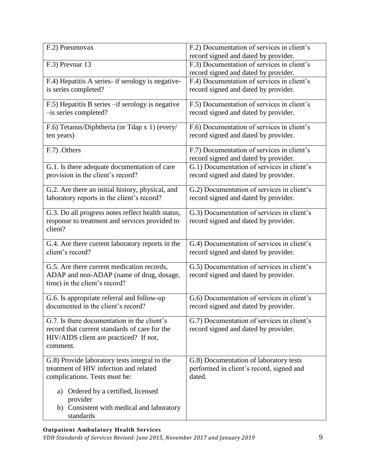| F.2) Pneumovax                                                                                                                                     | F.2) Documentation of services in client's<br>record signed and dated by provider. |
|----------------------------------------------------------------------------------------------------------------------------------------------------|------------------------------------------------------------------------------------|
| F.3) Prevnar 13                                                                                                                                    | F.3) Documentation of services in client's<br>record signed and dated by provider. |
| F.4) Hepatitis A series- if serology is negative-                                                                                                  | F.4) Documentation of services in client's                                         |
| is series completed?                                                                                                                               | record signed and dated by provider.                                               |
| F.5) Hepatitis B series -if serology is negative                                                                                                   | F.5) Documentation of services in client's                                         |
| -is series completed?                                                                                                                              | record signed and dated by provider.                                               |
| F.6) Tetanus/Diphtheria (or Tdap x 1) (every/                                                                                                      | F.6) Documentation of services in client's                                         |
| ten years)                                                                                                                                         | record signed and dated by provider.                                               |
| F.7) .Others                                                                                                                                       | F.7) Documentation of services in client's<br>record signed and dated by provider. |
| G.1. Is there adequate documentation of care                                                                                                       | G.1) Documentation of services in client's                                         |
| provision in the client's record?                                                                                                                  | record signed and dated by provider.                                               |
| G.2. Are there an initial history, physical, and                                                                                                   | G.2) Documentation of services in client's                                         |
| laboratory reports in the client's record?                                                                                                         | record signed and dated by provider.                                               |
| G.3. Do all progress notes reflect health status,<br>response to treatment and services provided to<br>client?                                     | G.3) Documentation of services in client's<br>record signed and dated by provider. |
| G.4. Are there current laboratory reports in the                                                                                                   | G.4) Documentation of services in client's                                         |
| client's record?                                                                                                                                   | record signed and dated by provider.                                               |
| G.5. Are there current medication records,<br>ADAP and non-ADAP (name of drug, dosage,<br>time) in the client's record?                            | G.5) Documentation of services in client's<br>record signed and dated by provider. |
| G.6. Is appropriate referral and follow-up                                                                                                         | G.6) Documentation of services in client's                                         |
| documented in the client's record?                                                                                                                 | record signed and dated by provider.                                               |
| G.7. Is there documentation in the client's<br>record that current standards of care for the<br>HIV/AIDS client are practiced? If not,<br>comment. | G.7) Documentation of services in client's<br>record signed and dated by provider. |
| G.8) Provide laboratory tests integral to the                                                                                                      | G.8) Documentation of laboratory tests                                             |
| treatment of HIV infection and related                                                                                                             | performed in client's record, signed and                                           |
| complications. Tests must be:                                                                                                                      | dated.                                                                             |
| Ordered by a certified, licensed<br>a)<br>provider<br>b) Consistent with medical and laboratory<br>standards                                       |                                                                                    |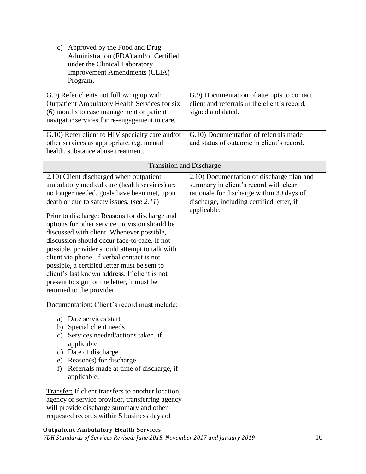| Approved by the Food and Drug<br>$\mathbf{c})$                                             |                                              |
|--------------------------------------------------------------------------------------------|----------------------------------------------|
| Administration (FDA) and/or Certified<br>under the Clinical Laboratory                     |                                              |
| <b>Improvement Amendments (CLIA)</b>                                                       |                                              |
| Program.                                                                                   |                                              |
|                                                                                            |                                              |
| G.9) Refer clients not following up with                                                   | G.9) Documentation of attempts to contact    |
| Outpatient Ambulatory Health Services for six                                              | client and referrals in the client's record, |
| (6) months to case management or patient<br>navigator services for re-engagement in care.  | signed and dated.                            |
|                                                                                            |                                              |
| G.10) Refer client to HIV specialty care and/or                                            | G.10) Documentation of referrals made        |
| other services as appropriate, e.g. mental                                                 | and status of outcome in client's record.    |
| health, substance abuse treatment.                                                         |                                              |
| <b>Transition and Discharge</b>                                                            |                                              |
| 2.10) Client discharged when outpatient                                                    | 2.10) Documentation of discharge plan and    |
| ambulatory medical care (health services) are                                              | summary in client's record with clear        |
| no longer needed, goals have been met, upon                                                | rationale for discharge within 30 days of    |
| death or due to safety issues. (see 2.11)                                                  | discharge, including certified letter, if    |
|                                                                                            | applicable.                                  |
| Prior to discharge: Reasons for discharge and                                              |                                              |
| options for other service provision should be<br>discussed with client. Whenever possible, |                                              |
| discussion should occur face-to-face. If not                                               |                                              |
| possible, provider should attempt to talk with                                             |                                              |
| client via phone. If verbal contact is not                                                 |                                              |
| possible, a certified letter must be sent to                                               |                                              |
| client's last known address. If client is not                                              |                                              |
| present to sign for the letter, it must be                                                 |                                              |
| returned to the provider.                                                                  |                                              |
| Documentation: Client's record must include:                                               |                                              |
| Date services start<br>a)                                                                  |                                              |
| b) Special client needs                                                                    |                                              |
| Services needed/actions taken, if<br>c)                                                    |                                              |
| applicable                                                                                 |                                              |
| d) Date of discharge                                                                       |                                              |
| e) Reason(s) for discharge                                                                 |                                              |
| Referrals made at time of discharge, if<br>f)<br>applicable.                               |                                              |
|                                                                                            |                                              |
| Transfer: If client transfers to another location,                                         |                                              |
| agency or service provider, transferring agency                                            |                                              |
| will provide discharge summary and other                                                   |                                              |
| requested records within 5 business days of                                                |                                              |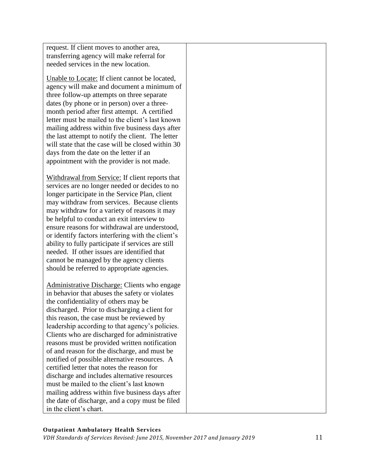request. If client moves to another area, transferring agency will make referral for needed services in the new location.

Unable to Locate: If client cannot be located, agency will make and document a minimum of three follow-up attempts on three separate dates (by phone or in person) over a threemonth period after first attempt. A certified letter must be mailed to the client's last known mailing address within five business days after the last attempt to notify the client. The letter will state that the case will be closed within 30 days from the date on the letter if an appointment with the provider is not made.

Withdrawal from Service: If client reports that services are no longer needed or decides to no longer participate in the Service Plan, client may withdraw from services. Because clients may withdraw for a variety of reasons it may be helpful to conduct an exit interview to ensure reasons for withdrawal are understood, or identify factors interfering with the client's ability to fully participate if services are still needed. If other issues are identified that cannot be managed by the agency clients should be referred to appropriate agencies.

Administrative Discharge: Clients who engage in behavior that abuses the safety or violates the confidentiality of others may be discharged. Prior to discharging a client for this reason, the case must be reviewed by leadership according to that agency's policies. Clients who are discharged for administrative reasons must be provided written notification of and reason for the discharge, and must be notified of possible alternative resources. A certified letter that notes the reason for discharge and includes alternative resources must be mailed to the client's last known mailing address within five business days after the date of discharge, and a copy must be filed in the client's chart.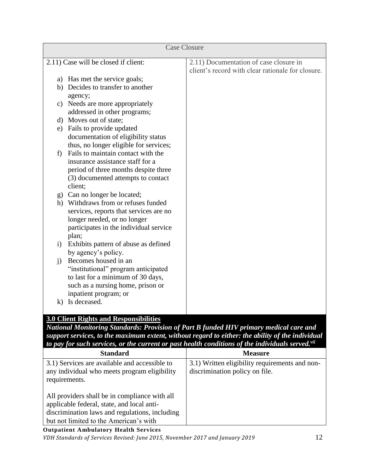|              | <b>Case Closure</b>                                         |                                                   |
|--------------|-------------------------------------------------------------|---------------------------------------------------|
|              | 2.11) Case will be closed if client:                        | 2.11) Documentation of case closure in            |
|              |                                                             | client's record with clear rationale for closure. |
|              | a) Has met the service goals;                               |                                                   |
|              | b) Decides to transfer to another                           |                                                   |
|              | agency;                                                     |                                                   |
|              | c) Needs are more appropriately                             |                                                   |
|              | addressed in other programs;                                |                                                   |
|              | d) Moves out of state;                                      |                                                   |
|              | e) Fails to provide updated                                 |                                                   |
|              | documentation of eligibility status                         |                                                   |
|              | thus, no longer eligible for services;                      |                                                   |
| f)           | Fails to maintain contact with the                          |                                                   |
|              | insurance assistance staff for a                            |                                                   |
|              | period of three months despite three                        |                                                   |
|              | (3) documented attempts to contact                          |                                                   |
|              | client;                                                     |                                                   |
|              | g) Can no longer be located;                                |                                                   |
|              | h) Withdraws from or refuses funded                         |                                                   |
|              | services, reports that services are no                      |                                                   |
|              | longer needed, or no longer                                 |                                                   |
|              | participates in the individual service                      |                                                   |
|              | plan;                                                       |                                                   |
| $\ddot{1}$   | Exhibits pattern of abuse as defined<br>by agency's policy. |                                                   |
| $\mathbf{i}$ | Becomes housed in an                                        |                                                   |
|              | "institutional" program anticipated                         |                                                   |
|              | to last for a minimum of 30 days,                           |                                                   |
|              | such as a nursing home, prison or                           |                                                   |
|              | inpatient program; or                                       |                                                   |
| $\bf{k}$     | Is deceased.                                                |                                                   |
|              |                                                             |                                                   |
|              |                                                             |                                                   |

# **3.0 Client Rights and Responsibilities**

*National Monitoring Standards: Provision of Part B funded HIV primary medical care and support services, to the maximum extent, without regard to either: the ability of the individual to pay for such services, or the current or past health conditions of the individuals served.vii*

| <b>Standard</b>                                                                                                                                                                         | <b>Measure</b>                                                                   |
|-----------------------------------------------------------------------------------------------------------------------------------------------------------------------------------------|----------------------------------------------------------------------------------|
| 3.1) Services are available and accessible to<br>any individual who meets program eligibility<br>requirements.                                                                          | 3.1) Written eligibility requirements and non-<br>discrimination policy on file. |
| All providers shall be in compliance with all<br>applicable federal, state, and local anti-<br>discrimination laws and regulations, including<br>but not limited to the American's with |                                                                                  |

#### **Outpatient Ambulatory Health Services**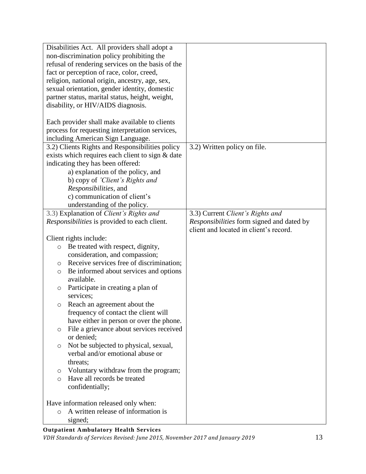| Disabilities Act. All providers shall adopt a                                          |                                           |
|----------------------------------------------------------------------------------------|-------------------------------------------|
| non-discrimination policy prohibiting the                                              |                                           |
| refusal of rendering services on the basis of the                                      |                                           |
| fact or perception of race, color, creed,                                              |                                           |
| religion, national origin, ancestry, age, sex,                                         |                                           |
| sexual orientation, gender identity, domestic                                          |                                           |
| partner status, marital status, height, weight,                                        |                                           |
| disability, or HIV/AIDS diagnosis.                                                     |                                           |
|                                                                                        |                                           |
| Each provider shall make available to clients                                          |                                           |
| process for requesting interpretation services,                                        |                                           |
| including American Sign Language.                                                      |                                           |
| 3.2) Clients Rights and Responsibilities policy                                        | 3.2) Written policy on file.              |
| exists which requires each client to sign & date                                       |                                           |
| indicating they has been offered:                                                      |                                           |
| a) explanation of the policy, and                                                      |                                           |
| b) copy of 'Client's Rights and                                                        |                                           |
| Responsibilities, and                                                                  |                                           |
| c) communication of client's                                                           |                                           |
| understanding of the policy.                                                           |                                           |
| 3.3) Explanation of Client's Rights and                                                | 3.3) Current Client's Rights and          |
| Responsibilities is provided to each client.                                           | Responsibilities form signed and dated by |
|                                                                                        | client and located in client's record.    |
| Client rights include:                                                                 |                                           |
| Be treated with respect, dignity,<br>$\circ$                                           |                                           |
| consideration, and compassion;                                                         |                                           |
| Receive services free of discrimination;<br>O                                          |                                           |
| Be informed about services and options<br>$\circ$                                      |                                           |
| available.                                                                             |                                           |
| Participate in creating a plan of<br>O                                                 |                                           |
| services;                                                                              |                                           |
| Reach an agreement about the<br>$\circ$                                                |                                           |
| frequency of contact the client will                                                   |                                           |
| have either in person or over the phone.                                               |                                           |
| File a grievance about services received<br>$\circ$                                    |                                           |
| or denied;                                                                             |                                           |
| Not be subjected to physical, sexual,<br>$\circ$                                       |                                           |
| verbal and/or emotional abuse or                                                       |                                           |
| threats;                                                                               |                                           |
| Voluntary withdraw from the program;<br>$\circ$                                        |                                           |
| Have all records be treated<br>$\circ$                                                 |                                           |
| confidentially;                                                                        |                                           |
|                                                                                        |                                           |
|                                                                                        |                                           |
|                                                                                        |                                           |
| signed;                                                                                |                                           |
| Have information released only when:<br>A written release of information is<br>$\circ$ |                                           |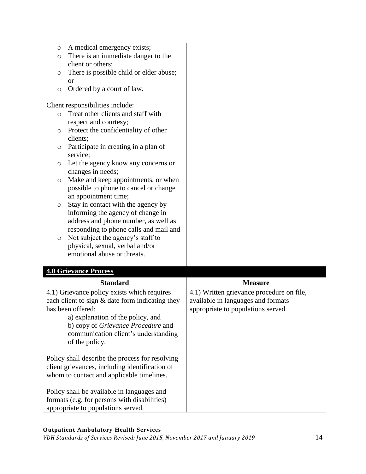| A medical emergency exists;<br>$\circ$<br>There is an immediate danger to the<br>$\circ$<br>client or others;<br>There is possible child or elder abuse;<br>$\circ$<br><b>or</b><br>Ordered by a court of law.<br>$\circ$<br>Client responsibilities include:<br>Treat other clients and staff with<br>$\circ$<br>respect and courtesy;<br>Protect the confidentiality of other<br>O<br>clients;<br>Participate in creating in a plan of<br>O<br>service;<br>Let the agency know any concerns or<br>$\circ$<br>changes in needs;<br>Make and keep appointments, or when<br>$\circ$<br>possible to phone to cancel or change<br>an appointment time;<br>Stay in contact with the agency by<br>$\circ$<br>informing the agency of change in<br>address and phone number, as well as<br>responding to phone calls and mail and<br>Not subject the agency's staff to<br>$\circ$<br>physical, sexual, verbal and/or<br>emotional abuse or threats.<br><b>4.0 Grievance Process</b><br><b>Standard</b><br>4.1) Grievance policy exists which requires<br>each client to sign & date form indicating they<br>has been offered:<br>a) explanation of the policy, and<br>b) copy of Grievance Procedure and<br>communication client's understanding<br>of the policy. |                                           |
|--------------------------------------------------------------------------------------------------------------------------------------------------------------------------------------------------------------------------------------------------------------------------------------------------------------------------------------------------------------------------------------------------------------------------------------------------------------------------------------------------------------------------------------------------------------------------------------------------------------------------------------------------------------------------------------------------------------------------------------------------------------------------------------------------------------------------------------------------------------------------------------------------------------------------------------------------------------------------------------------------------------------------------------------------------------------------------------------------------------------------------------------------------------------------------------------------------------------------------------------------------------|-------------------------------------------|
|                                                                                                                                                                                                                                                                                                                                                                                                                                                                                                                                                                                                                                                                                                                                                                                                                                                                                                                                                                                                                                                                                                                                                                                                                                                              |                                           |
|                                                                                                                                                                                                                                                                                                                                                                                                                                                                                                                                                                                                                                                                                                                                                                                                                                                                                                                                                                                                                                                                                                                                                                                                                                                              |                                           |
|                                                                                                                                                                                                                                                                                                                                                                                                                                                                                                                                                                                                                                                                                                                                                                                                                                                                                                                                                                                                                                                                                                                                                                                                                                                              |                                           |
|                                                                                                                                                                                                                                                                                                                                                                                                                                                                                                                                                                                                                                                                                                                                                                                                                                                                                                                                                                                                                                                                                                                                                                                                                                                              |                                           |
|                                                                                                                                                                                                                                                                                                                                                                                                                                                                                                                                                                                                                                                                                                                                                                                                                                                                                                                                                                                                                                                                                                                                                                                                                                                              |                                           |
|                                                                                                                                                                                                                                                                                                                                                                                                                                                                                                                                                                                                                                                                                                                                                                                                                                                                                                                                                                                                                                                                                                                                                                                                                                                              |                                           |
|                                                                                                                                                                                                                                                                                                                                                                                                                                                                                                                                                                                                                                                                                                                                                                                                                                                                                                                                                                                                                                                                                                                                                                                                                                                              |                                           |
|                                                                                                                                                                                                                                                                                                                                                                                                                                                                                                                                                                                                                                                                                                                                                                                                                                                                                                                                                                                                                                                                                                                                                                                                                                                              |                                           |
|                                                                                                                                                                                                                                                                                                                                                                                                                                                                                                                                                                                                                                                                                                                                                                                                                                                                                                                                                                                                                                                                                                                                                                                                                                                              |                                           |
|                                                                                                                                                                                                                                                                                                                                                                                                                                                                                                                                                                                                                                                                                                                                                                                                                                                                                                                                                                                                                                                                                                                                                                                                                                                              |                                           |
|                                                                                                                                                                                                                                                                                                                                                                                                                                                                                                                                                                                                                                                                                                                                                                                                                                                                                                                                                                                                                                                                                                                                                                                                                                                              |                                           |
|                                                                                                                                                                                                                                                                                                                                                                                                                                                                                                                                                                                                                                                                                                                                                                                                                                                                                                                                                                                                                                                                                                                                                                                                                                                              |                                           |
|                                                                                                                                                                                                                                                                                                                                                                                                                                                                                                                                                                                                                                                                                                                                                                                                                                                                                                                                                                                                                                                                                                                                                                                                                                                              |                                           |
|                                                                                                                                                                                                                                                                                                                                                                                                                                                                                                                                                                                                                                                                                                                                                                                                                                                                                                                                                                                                                                                                                                                                                                                                                                                              |                                           |
|                                                                                                                                                                                                                                                                                                                                                                                                                                                                                                                                                                                                                                                                                                                                                                                                                                                                                                                                                                                                                                                                                                                                                                                                                                                              |                                           |
|                                                                                                                                                                                                                                                                                                                                                                                                                                                                                                                                                                                                                                                                                                                                                                                                                                                                                                                                                                                                                                                                                                                                                                                                                                                              |                                           |
|                                                                                                                                                                                                                                                                                                                                                                                                                                                                                                                                                                                                                                                                                                                                                                                                                                                                                                                                                                                                                                                                                                                                                                                                                                                              |                                           |
|                                                                                                                                                                                                                                                                                                                                                                                                                                                                                                                                                                                                                                                                                                                                                                                                                                                                                                                                                                                                                                                                                                                                                                                                                                                              |                                           |
|                                                                                                                                                                                                                                                                                                                                                                                                                                                                                                                                                                                                                                                                                                                                                                                                                                                                                                                                                                                                                                                                                                                                                                                                                                                              |                                           |
|                                                                                                                                                                                                                                                                                                                                                                                                                                                                                                                                                                                                                                                                                                                                                                                                                                                                                                                                                                                                                                                                                                                                                                                                                                                              |                                           |
|                                                                                                                                                                                                                                                                                                                                                                                                                                                                                                                                                                                                                                                                                                                                                                                                                                                                                                                                                                                                                                                                                                                                                                                                                                                              |                                           |
|                                                                                                                                                                                                                                                                                                                                                                                                                                                                                                                                                                                                                                                                                                                                                                                                                                                                                                                                                                                                                                                                                                                                                                                                                                                              |                                           |
|                                                                                                                                                                                                                                                                                                                                                                                                                                                                                                                                                                                                                                                                                                                                                                                                                                                                                                                                                                                                                                                                                                                                                                                                                                                              |                                           |
|                                                                                                                                                                                                                                                                                                                                                                                                                                                                                                                                                                                                                                                                                                                                                                                                                                                                                                                                                                                                                                                                                                                                                                                                                                                              |                                           |
|                                                                                                                                                                                                                                                                                                                                                                                                                                                                                                                                                                                                                                                                                                                                                                                                                                                                                                                                                                                                                                                                                                                                                                                                                                                              |                                           |
|                                                                                                                                                                                                                                                                                                                                                                                                                                                                                                                                                                                                                                                                                                                                                                                                                                                                                                                                                                                                                                                                                                                                                                                                                                                              |                                           |
|                                                                                                                                                                                                                                                                                                                                                                                                                                                                                                                                                                                                                                                                                                                                                                                                                                                                                                                                                                                                                                                                                                                                                                                                                                                              |                                           |
|                                                                                                                                                                                                                                                                                                                                                                                                                                                                                                                                                                                                                                                                                                                                                                                                                                                                                                                                                                                                                                                                                                                                                                                                                                                              |                                           |
|                                                                                                                                                                                                                                                                                                                                                                                                                                                                                                                                                                                                                                                                                                                                                                                                                                                                                                                                                                                                                                                                                                                                                                                                                                                              |                                           |
|                                                                                                                                                                                                                                                                                                                                                                                                                                                                                                                                                                                                                                                                                                                                                                                                                                                                                                                                                                                                                                                                                                                                                                                                                                                              |                                           |
|                                                                                                                                                                                                                                                                                                                                                                                                                                                                                                                                                                                                                                                                                                                                                                                                                                                                                                                                                                                                                                                                                                                                                                                                                                                              |                                           |
|                                                                                                                                                                                                                                                                                                                                                                                                                                                                                                                                                                                                                                                                                                                                                                                                                                                                                                                                                                                                                                                                                                                                                                                                                                                              |                                           |
|                                                                                                                                                                                                                                                                                                                                                                                                                                                                                                                                                                                                                                                                                                                                                                                                                                                                                                                                                                                                                                                                                                                                                                                                                                                              | <b>Measure</b>                            |
|                                                                                                                                                                                                                                                                                                                                                                                                                                                                                                                                                                                                                                                                                                                                                                                                                                                                                                                                                                                                                                                                                                                                                                                                                                                              | 4.1) Written grievance procedure on file, |
|                                                                                                                                                                                                                                                                                                                                                                                                                                                                                                                                                                                                                                                                                                                                                                                                                                                                                                                                                                                                                                                                                                                                                                                                                                                              |                                           |
|                                                                                                                                                                                                                                                                                                                                                                                                                                                                                                                                                                                                                                                                                                                                                                                                                                                                                                                                                                                                                                                                                                                                                                                                                                                              | available in languages and formats        |
|                                                                                                                                                                                                                                                                                                                                                                                                                                                                                                                                                                                                                                                                                                                                                                                                                                                                                                                                                                                                                                                                                                                                                                                                                                                              | appropriate to populations served.        |
|                                                                                                                                                                                                                                                                                                                                                                                                                                                                                                                                                                                                                                                                                                                                                                                                                                                                                                                                                                                                                                                                                                                                                                                                                                                              |                                           |
|                                                                                                                                                                                                                                                                                                                                                                                                                                                                                                                                                                                                                                                                                                                                                                                                                                                                                                                                                                                                                                                                                                                                                                                                                                                              |                                           |
|                                                                                                                                                                                                                                                                                                                                                                                                                                                                                                                                                                                                                                                                                                                                                                                                                                                                                                                                                                                                                                                                                                                                                                                                                                                              |                                           |
|                                                                                                                                                                                                                                                                                                                                                                                                                                                                                                                                                                                                                                                                                                                                                                                                                                                                                                                                                                                                                                                                                                                                                                                                                                                              |                                           |
| Policy shall describe the process for resolving                                                                                                                                                                                                                                                                                                                                                                                                                                                                                                                                                                                                                                                                                                                                                                                                                                                                                                                                                                                                                                                                                                                                                                                                              |                                           |
| client grievances, including identification of                                                                                                                                                                                                                                                                                                                                                                                                                                                                                                                                                                                                                                                                                                                                                                                                                                                                                                                                                                                                                                                                                                                                                                                                               |                                           |
| whom to contact and applicable timelines.                                                                                                                                                                                                                                                                                                                                                                                                                                                                                                                                                                                                                                                                                                                                                                                                                                                                                                                                                                                                                                                                                                                                                                                                                    |                                           |
|                                                                                                                                                                                                                                                                                                                                                                                                                                                                                                                                                                                                                                                                                                                                                                                                                                                                                                                                                                                                                                                                                                                                                                                                                                                              |                                           |
|                                                                                                                                                                                                                                                                                                                                                                                                                                                                                                                                                                                                                                                                                                                                                                                                                                                                                                                                                                                                                                                                                                                                                                                                                                                              |                                           |
|                                                                                                                                                                                                                                                                                                                                                                                                                                                                                                                                                                                                                                                                                                                                                                                                                                                                                                                                                                                                                                                                                                                                                                                                                                                              |                                           |
| appropriate to populations served.                                                                                                                                                                                                                                                                                                                                                                                                                                                                                                                                                                                                                                                                                                                                                                                                                                                                                                                                                                                                                                                                                                                                                                                                                           |                                           |
| Policy shall be available in languages and<br>formats (e.g. for persons with disabilities)                                                                                                                                                                                                                                                                                                                                                                                                                                                                                                                                                                                                                                                                                                                                                                                                                                                                                                                                                                                                                                                                                                                                                                   |                                           |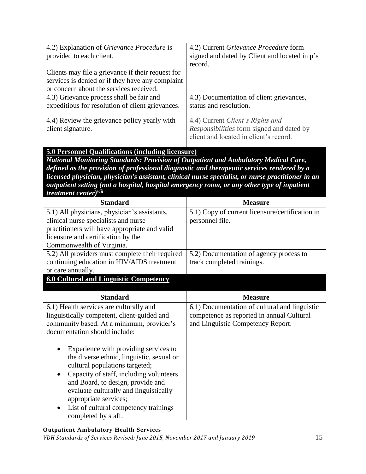| 4.2) Explanation of Grievance Procedure is<br>provided to each client.                                                           | 4.2) Current Grievance Procedure form<br>signed and dated by Client and located in p's                                  |
|----------------------------------------------------------------------------------------------------------------------------------|-------------------------------------------------------------------------------------------------------------------------|
|                                                                                                                                  | record.                                                                                                                 |
| Clients may file a grievance if their request for<br>services is denied or if they have any complaint                            |                                                                                                                         |
| or concern about the services received.                                                                                          |                                                                                                                         |
| 4.3) Grievance process shall be fair and<br>expeditious for resolution of client grievances.                                     | 4.3) Documentation of client grievances,<br>status and resolution.                                                      |
| 4.4) Review the grievance policy yearly with<br>client signature.                                                                | 4.4) Current Client's Rights and<br>Responsibilities form signed and dated by<br>client and located in client's record. |
| 5.0 Personnel Qualifications (including licensure)                                                                               |                                                                                                                         |
| National Monitoring Standards: Provision of Outpatient and Ambulatory Medical Care,                                              |                                                                                                                         |
| defined as the provision of professional diagnostic and therapeutic services rendered by a                                       |                                                                                                                         |
| licensed physician, physician's assistant, clinical nurse specialist, or nurse practitioner in an                                |                                                                                                                         |
| outpatient setting (not a hospital, hospital emergency room, or any other type of inpatient<br>treatment center) <sup>viii</sup> |                                                                                                                         |
| <b>Standard</b>                                                                                                                  | <b>Measure</b>                                                                                                          |
| 5.1) All physicians, physician's assistants,                                                                                     | 5.1) Copy of current licensure/certification in                                                                         |
| clinical nurse specialists and nurse                                                                                             | personnel file.                                                                                                         |
| practitioners will have appropriate and valid                                                                                    |                                                                                                                         |
| licensure and certification by the                                                                                               |                                                                                                                         |
| Commonwealth of Virginia.                                                                                                        |                                                                                                                         |
| 5.2) All providers must complete their required                                                                                  | 5.2) Documentation of agency process to                                                                                 |
| continuing education in HIV/AIDS treatment                                                                                       | track completed trainings.                                                                                              |
| or care annually.                                                                                                                |                                                                                                                         |
| <b>6.0 Cultural and Linguistic Competency</b>                                                                                    |                                                                                                                         |
|                                                                                                                                  |                                                                                                                         |
| <b>Standard</b>                                                                                                                  | <b>Measure</b>                                                                                                          |
| 6.1) Health services are culturally and                                                                                          | 6.1) Documentation of cultural and linguistic                                                                           |
| linguistically competent, client-guided and                                                                                      | competence as reported in annual Cultural                                                                               |
| community based. At a minimum, provider's                                                                                        | and Linguistic Competency Report.                                                                                       |
| documentation should include:                                                                                                    |                                                                                                                         |
| Experience with providing services to                                                                                            |                                                                                                                         |
| the diverse ethnic, linguistic, sexual or                                                                                        |                                                                                                                         |
| cultural populations targeted;                                                                                                   |                                                                                                                         |
| Capacity of staff, including volunteers<br>٠                                                                                     |                                                                                                                         |
| and Board, to design, provide and                                                                                                |                                                                                                                         |
| evaluate culturally and linguistically                                                                                           |                                                                                                                         |
| appropriate services;                                                                                                            |                                                                                                                         |
| List of cultural competency trainings                                                                                            |                                                                                                                         |
| completed by staff.                                                                                                              |                                                                                                                         |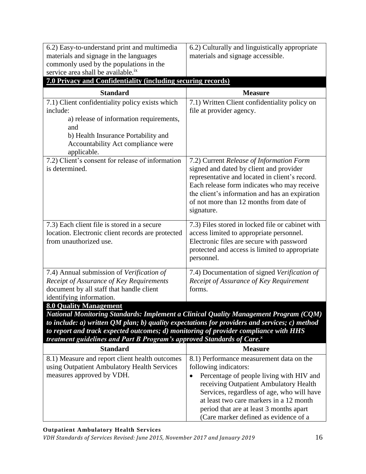| 6.2) Culturally and linguistically appropriate                                                                                                                                                                                                                                                  |
|-------------------------------------------------------------------------------------------------------------------------------------------------------------------------------------------------------------------------------------------------------------------------------------------------|
| materials and signage accessible.                                                                                                                                                                                                                                                               |
|                                                                                                                                                                                                                                                                                                 |
|                                                                                                                                                                                                                                                                                                 |
| 7.0 Privacy and Confidentiality (including securing records)                                                                                                                                                                                                                                    |
| <b>Measure</b>                                                                                                                                                                                                                                                                                  |
| 7.1) Written Client confidentiality policy on                                                                                                                                                                                                                                                   |
| file at provider agency.                                                                                                                                                                                                                                                                        |
|                                                                                                                                                                                                                                                                                                 |
|                                                                                                                                                                                                                                                                                                 |
| 7.2) Current Release of Information Form<br>signed and dated by client and provider<br>representative and located in client's record.<br>Each release form indicates who may receive<br>the client's information and has an expiration<br>of not more than 12 months from date of<br>signature. |
| 7.3) Files stored in locked file or cabinet with<br>access limited to appropriate personnel.<br>Electronic files are secure with password<br>protected and access is limited to appropriate<br>personnel.                                                                                       |
| 7.4) Documentation of signed Verification of<br>Receipt of Assurance of Key Requirement<br>forms.                                                                                                                                                                                               |
|                                                                                                                                                                                                                                                                                                 |
|                                                                                                                                                                                                                                                                                                 |
| National Monitoring Standards: Implement a Clinical Quality Management Program (CQM)                                                                                                                                                                                                            |
| to include: $a$ ) written QM plan; $b$ ) quality expectations for providers and services; $c$ ) method                                                                                                                                                                                          |
| to report and track expected outcomes; d) monitoring of provider compliance with HHS<br>treatment guidelines and Part B Program's approved Standards of Care.x                                                                                                                                  |
| <b>Measure</b>                                                                                                                                                                                                                                                                                  |
| 8.1) Performance measurement data on the                                                                                                                                                                                                                                                        |
| following indicators:                                                                                                                                                                                                                                                                           |
| Percentage of people living with HIV and<br>$\bullet$<br>receiving Outpatient Ambulatory Health<br>Services, regardless of age, who will have<br>at least two care markers in a 12 month<br>period that are at least 3 months apart                                                             |
|                                                                                                                                                                                                                                                                                                 |